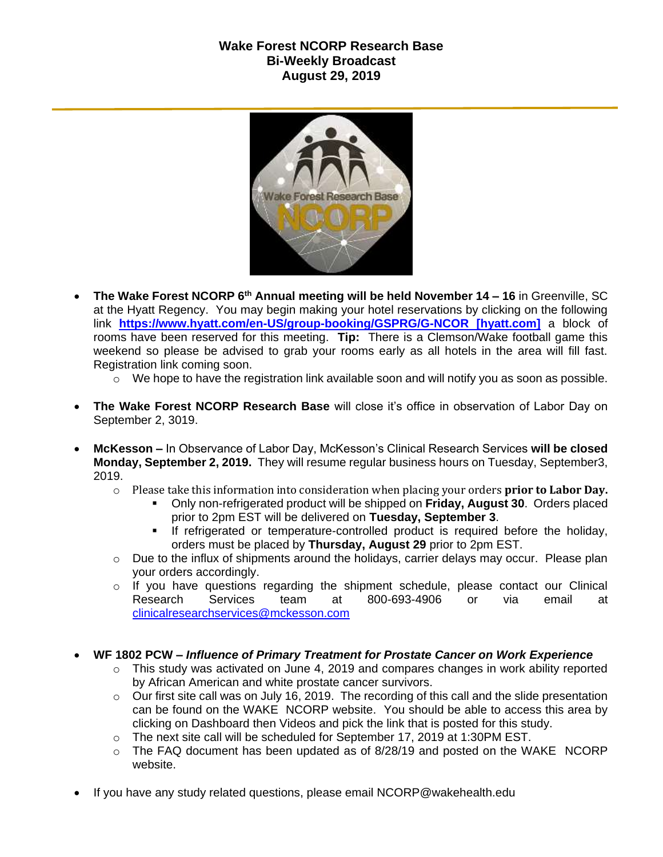## **Wake Forest NCORP Research Base Bi-Weekly Broadcast August 29, 2019**



- **The Wake Forest NCORP 6th Annual meeting will be held November 14 – 16** in Greenville, SC at the Hyatt Regency. You may begin making your hotel reservations by clicking on the following link **[https://www.hyatt.com/en-US/group-booking/GSPRG/G-NCOR \[hyatt.com\]](https://urldefense.proofpoint.com/v2/url?u=https-3A__www.hyatt.com_en-2DUS_group-2Dbooking_GSPRG_G-2DNCOR&d=DwMF-g&c=yzGiX0CSJAqkDTmENO9LmP6KfPQitNABR9M66gsTb5w&r=TnCUknn7SuuKiZZ9xYiqqVGRRW44n91mFcfkV4OTZdE&m=nMl5QpnTqZImfgmQv3WVuZH_olwfmfBEebqvflDwGVA&s=Jokja0iM_Zy6iN0skc6kDqNVUzyUA2YmjssaQyPU1jY&e=)** a block of rooms have been reserved for this meeting. **Tip:** There is a Clemson/Wake football game this weekend so please be advised to grab your rooms early as all hotels in the area will fill fast. Registration link coming soon.
	- o We hope to have the registration link available soon and will notify you as soon as possible.
- **The Wake Forest NCORP Research Base** will close it's office in observation of Labor Day on September 2, 3019.
- **McKesson –** In Observance of Labor Day, McKesson's Clinical Research Services **will be closed Monday, September 2, 2019.** They will resume regular business hours on Tuesday, September3, 2019.
	- o Please take this information into consideration when placing your orders **prior to Labor Day.**
		- Only non-refrigerated product will be shipped on **Friday, August 30**. Orders placed prior to 2pm EST will be delivered on **Tuesday, September 3**.
		- If refrigerated or temperature-controlled product is required before the holiday, orders must be placed by **Thursday, August 29** prior to 2pm EST.
	- $\circ$  Due to the influx of shipments around the holidays, carrier delays may occur. Please plan your orders accordingly.
	- $\circ$  If you have questions regarding the shipment schedule, please contact our Clinical Research Services team at 800-693-4906 or via email at [clinicalresearchservices@mckesson.com](mailto:clinicalresearchservices@mckesson.com)
- **WF 1802 PCW –** *Influence of Primary Treatment for Prostate Cancer on Work Experience*
	- $\circ$  This study was activated on June 4, 2019 and compares changes in work ability reported by African American and white prostate cancer survivors.
	- o Our first site call was on July 16, 2019. The recording of this call and the slide presentation can be found on the WAKE NCORP website. You should be able to access this area by clicking on Dashboard then Videos and pick the link that is posted for this study.
	- o The next site call will be scheduled for September 17, 2019 at 1:30PM EST.
	- o The FAQ document has been updated as of 8/28/19 and posted on the WAKE NCORP website.
- If you have any study related questions, please email NCORP@wakehealth.edu